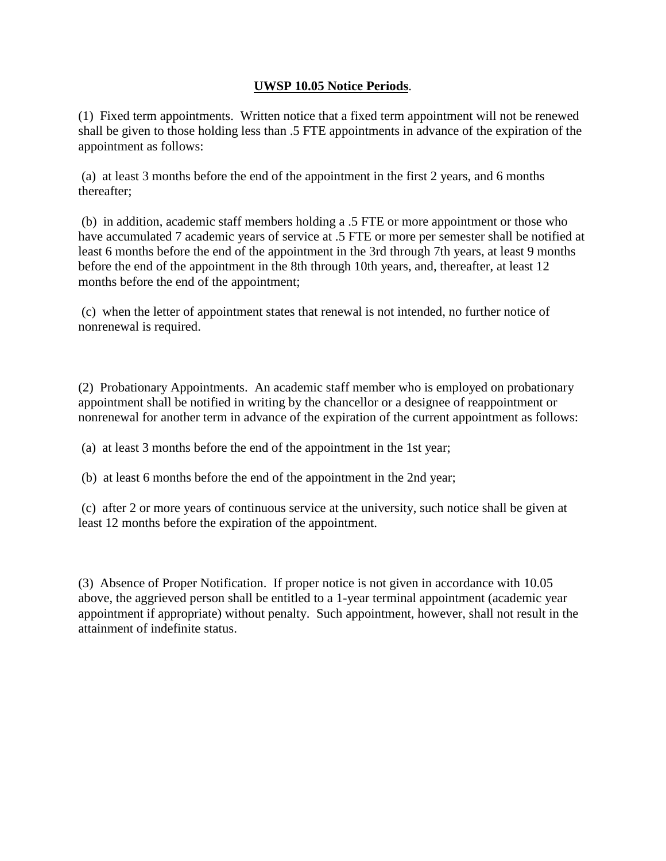## **UWSP 10.05 Notice Periods**.

(1) Fixed term appointments. Written notice that a fixed term appointment will not be renewed shall be given to those holding less than .5 FTE appointments in advance of the expiration of the appointment as follows:

(a) at least 3 months before the end of the appointment in the first 2 years, and 6 months thereafter;

(b) in addition, academic staff members holding a .5 FTE or more appointment or those who have accumulated 7 academic years of service at .5 FTE or more per semester shall be notified at least 6 months before the end of the appointment in the 3rd through 7th years, at least 9 months before the end of the appointment in the 8th through 10th years, and, thereafter, at least 12 months before the end of the appointment;

(c) when the letter of appointment states that renewal is not intended, no further notice of nonrenewal is required.

(2) Probationary Appointments. An academic staff member who is employed on probationary appointment shall be notified in writing by the chancellor or a designee of reappointment or nonrenewal for another term in advance of the expiration of the current appointment as follows:

(a) at least 3 months before the end of the appointment in the 1st year;

(b) at least 6 months before the end of the appointment in the 2nd year;

(c) after 2 or more years of continuous service at the university, such notice shall be given at least 12 months before the expiration of the appointment.

(3) Absence of Proper Notification. If proper notice is not given in accordance with 10.05 above, the aggrieved person shall be entitled to a 1-year terminal appointment (academic year appointment if appropriate) without penalty. Such appointment, however, shall not result in the attainment of indefinite status.